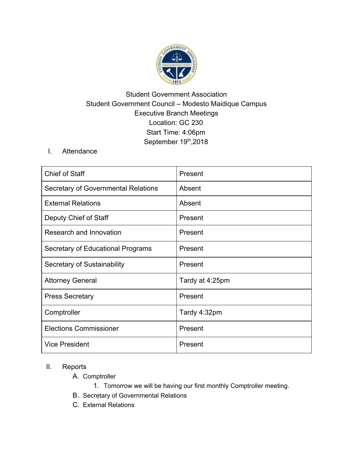

## Student Government Association Student Government Council – Modesto Maidique Campus Executive Branch Meetings Location: GC 230 Start Time: 4:06pm September 19th, 2018

## I. Attendance

| <b>Chief of Staff</b>               | Present         |
|-------------------------------------|-----------------|
| Secretary of Governmental Relations | Absent          |
| <b>External Relations</b>           | Absent          |
| Deputy Chief of Staff               | Present         |
| Research and Innovation             | Present         |
| Secretary of Educational Programs   | Present         |
| Secretary of Sustainability         | Present         |
| <b>Attorney General</b>             | Tardy at 4:25pm |
| <b>Press Secretary</b>              | Present         |
| Comptroller                         | Tardy 4:32pm    |
| <b>Elections Commissioner</b>       | Present         |
| <b>Vice President</b>               | Present         |

## II. Reports

A. Comptroller

- 1. Tomorrow we will be having our first monthly Comptroller meeting.
- B. Secretary of Governmental Relations
- C. External Relations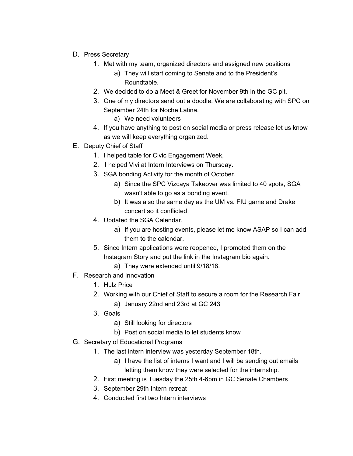- D. Press Secretary
	- 1. Met with my team, organized directors and assigned new positions
		- a) They will start coming to Senate and to the President's Roundtable.
	- 2. We decided to do a Meet & Greet for November 9th in the GC pit.
	- 3. One of my directors send out a doodle. We are collaborating with SPC on September 24th for Noche Latina.
		- a) We need volunteers
	- 4. If you have anything to post on social media or press release let us know as we will keep everything organized.
- E. Deputy Chief of Staff
	- 1. I helped table for Civic Engagement Week,
	- 2. I helped Vivi at Intern Interviews on Thursday.
	- 3. SGA bonding Activity for the month of October.
		- a) Since the SPC Vizcaya Takeover was limited to 40 spots, SGA wasn't able to go as a bonding event.
		- b) It was also the same day as the UM vs. FIU game and Drake concert so it conflicted.
	- 4. Updated the SGA Calendar.
		- a) If you are hosting events, please let me know ASAP so I can add them to the calendar.
	- 5. Since Intern applications were reopened, I promoted them on the Instagram Story and put the link in the Instagram bio again.
		- a) They were extended until 9/18/18.
- F. Research and Innovation
	- 1. Hulz Price
	- 2. Working with our Chief of Staff to secure a room for the Research Fair
		- a) January 22nd and 23rd at GC 243
	- 3. Goals
		- a) Still looking for directors
		- b) Post on social media to let students know
- G. Secretary of Educational Programs
	- 1. The last intern interview was yesterday September 18th.
		- a) I have the list of interns I want and I will be sending out emails letting them know they were selected for the internship.
	- 2. First meeting is Tuesday the 25th 4-6pm in GC Senate Chambers
	- 3. September 29th Intern retreat
	- 4. Conducted first two Intern interviews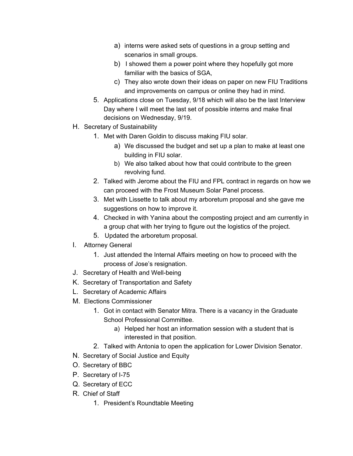- a) interns were asked sets of questions in a group setting and scenarios in small groups.
- b) I showed them a power point where they hopefully got more familiar with the basics of SGA,
- c) They also wrote down their ideas on paper on new FIU Traditions and improvements on campus or online they had in mind.
- 5. Applications close on Tuesday, 9/18 which will also be the last Interview Day where I will meet the last set of possible interns and make final decisions on Wednesday, 9/19.
- H. Secretary of Sustainability
	- 1. Met with Daren Goldin to discuss making FIU solar.
		- a) We discussed the budget and set up a plan to make at least one building in FIU solar.
		- b) We also talked about how that could contribute to the green revolving fund.
	- 2. Talked with Jerome about the FIU and FPL contract in regards on how we can proceed with the Frost Museum Solar Panel process.
	- 3. Met with Lissette to talk about my arboretum proposal and she gave me suggestions on how to improve it.
	- 4. Checked in with Yanina about the composting project and am currently in a group chat with her trying to figure out the logistics of the project.
	- 5. Updated the arboretum proposal.
- I. Attorney General
	- 1. Just attended the Internal Affairs meeting on how to proceed with the process of Jose's resignation.
- J. Secretary of Health and Well-being
- K. Secretary of Transportation and Safety
- L. Secretary of Academic Affairs
- M. Elections Commissioner
	- 1. Got in contact with Senator Mitra. There is a vacancy in the Graduate School Professional Committee.
		- a) Helped her host an information session with a student that is interested in that position.
	- 2. Talked with Antonia to open the application for Lower Division Senator.
- N. Secretary of Social Justice and Equity
- O. Secretary of BBC
- P. Secretary of I-75
- Q. Secretary of ECC
- R. Chief of Staff
	- 1. President's Roundtable Meeting